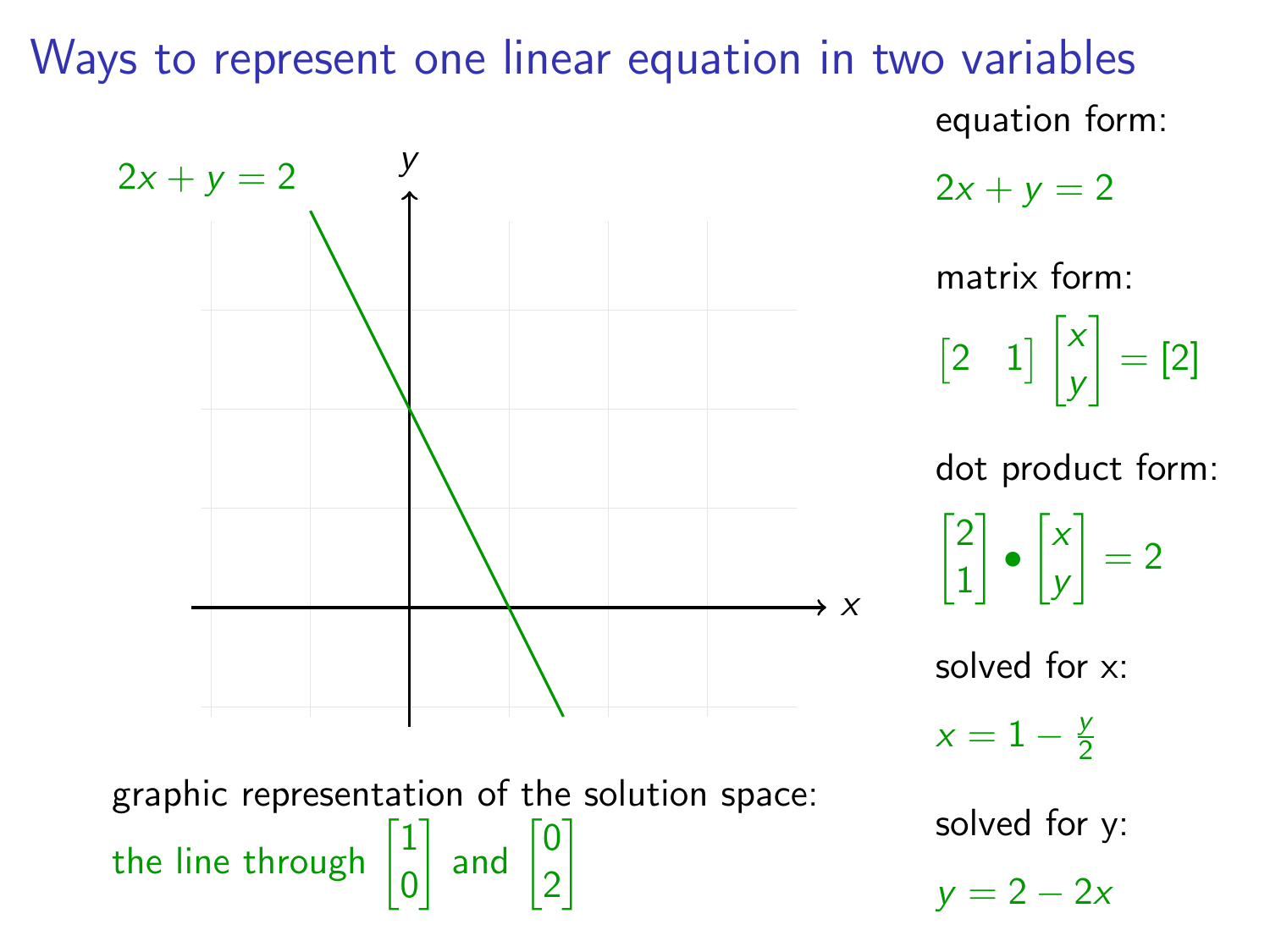## Ways to represent one linear equation in two variables equation form:



 $2x + y = 2$ 

matrix form:  $\begin{bmatrix} 2 & 1 \end{bmatrix}$ y  $=$  [2]

dot product form:  $\sqrt{2}$ 1  $\bigg] \bullet \big[ \begin{smallmatrix} x \end{smallmatrix}$ y  $\Big] = 2$ 

solved for x:

 $x = 1 - \frac{y}{2}$ 2

solved for y:

 $y = 2 - 2x$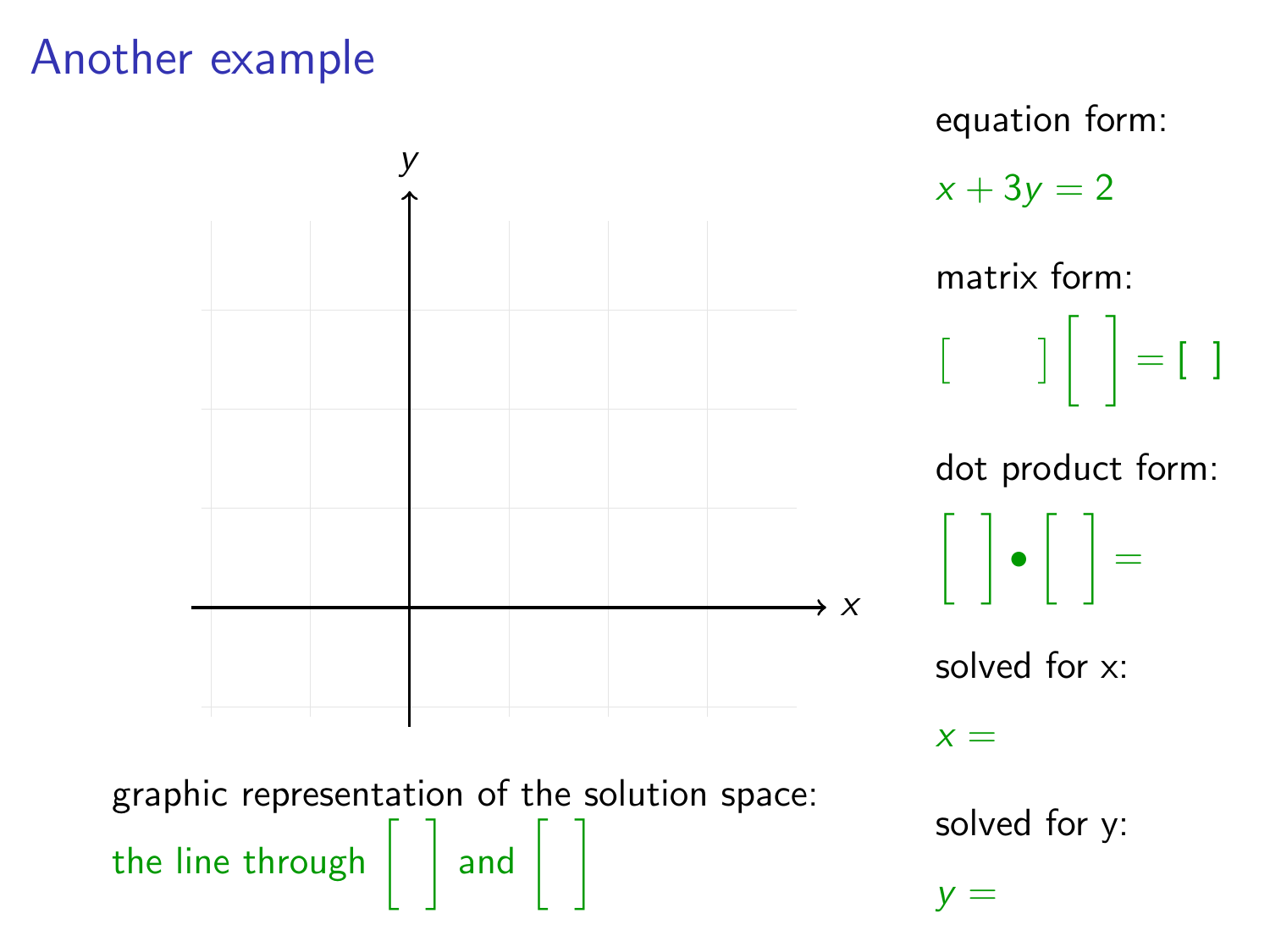### Another example

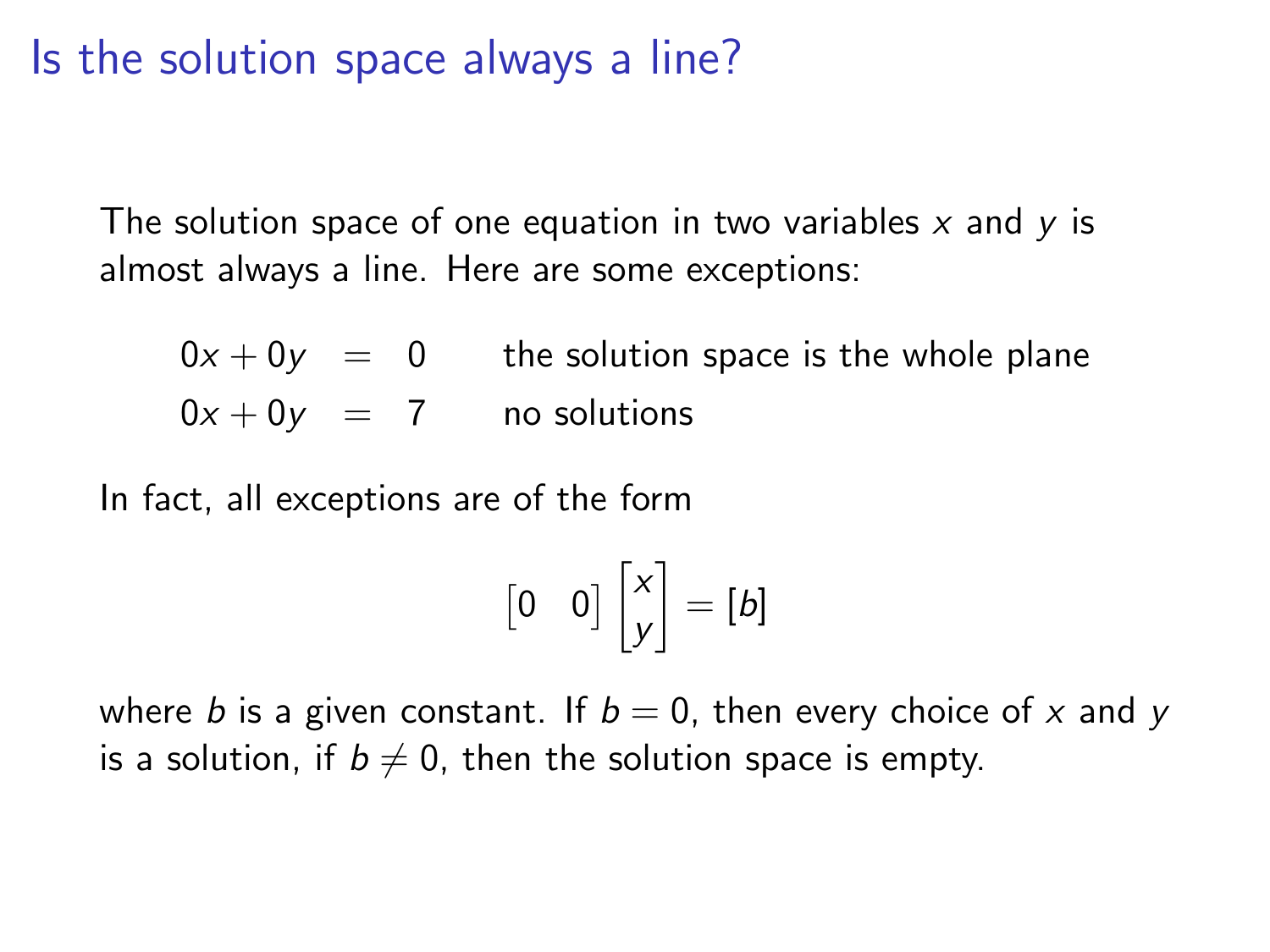#### Is the solution space always a line?

The solution space of one equation in two variables  $x$  and  $y$  is almost always a line. Here are some exceptions:

 $0x + 0y = 0$  the solution space is the whole plane  $0x + 0y = 7$  no solutions

In fact, all exceptions are of the form

$$
\begin{bmatrix} 0 & 0 \end{bmatrix} \begin{bmatrix} x \\ y \end{bmatrix} = \begin{bmatrix} b \end{bmatrix}
$$

where b is a given constant. If  $b = 0$ , then every choice of x and y is a solution, if  $b \neq 0$ , then the solution space is empty.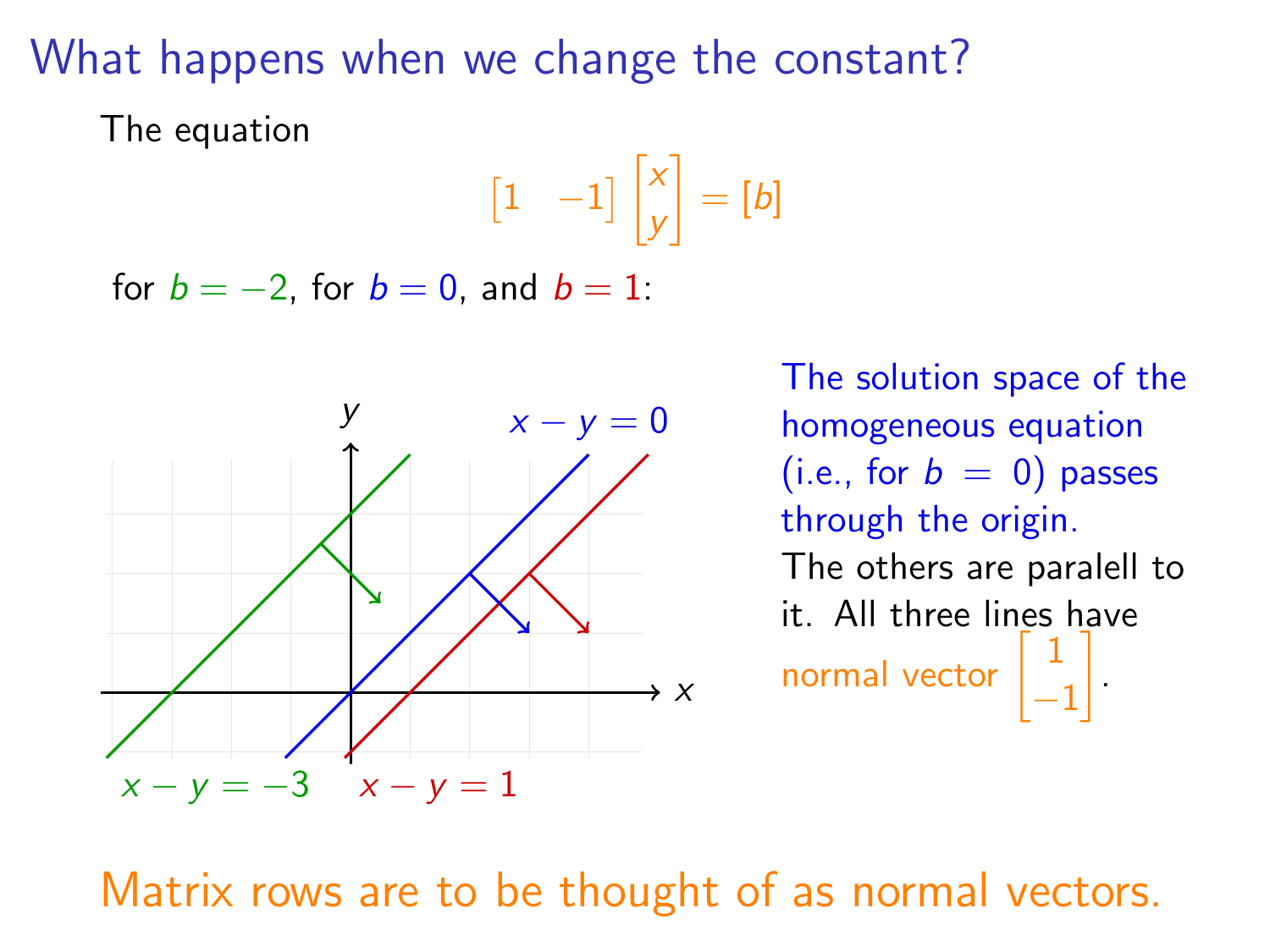### What happens when we change the constant?

The equation

$$
\begin{bmatrix} 1 & -1 \end{bmatrix} \begin{bmatrix} x \\ y \end{bmatrix} = \begin{bmatrix} b \end{bmatrix}
$$

for  $b = -2$ , for  $b = 0$ , and  $b = 1$ :



The solution space of the homogeneous equation (i.e., for  $b = 0$ ) passes through the origin. The others are paralell to it. All three lines have normal vector  $\begin{bmatrix} 1 \end{bmatrix}$ −1 .

Matrix rows are to be thought of as normal vectors.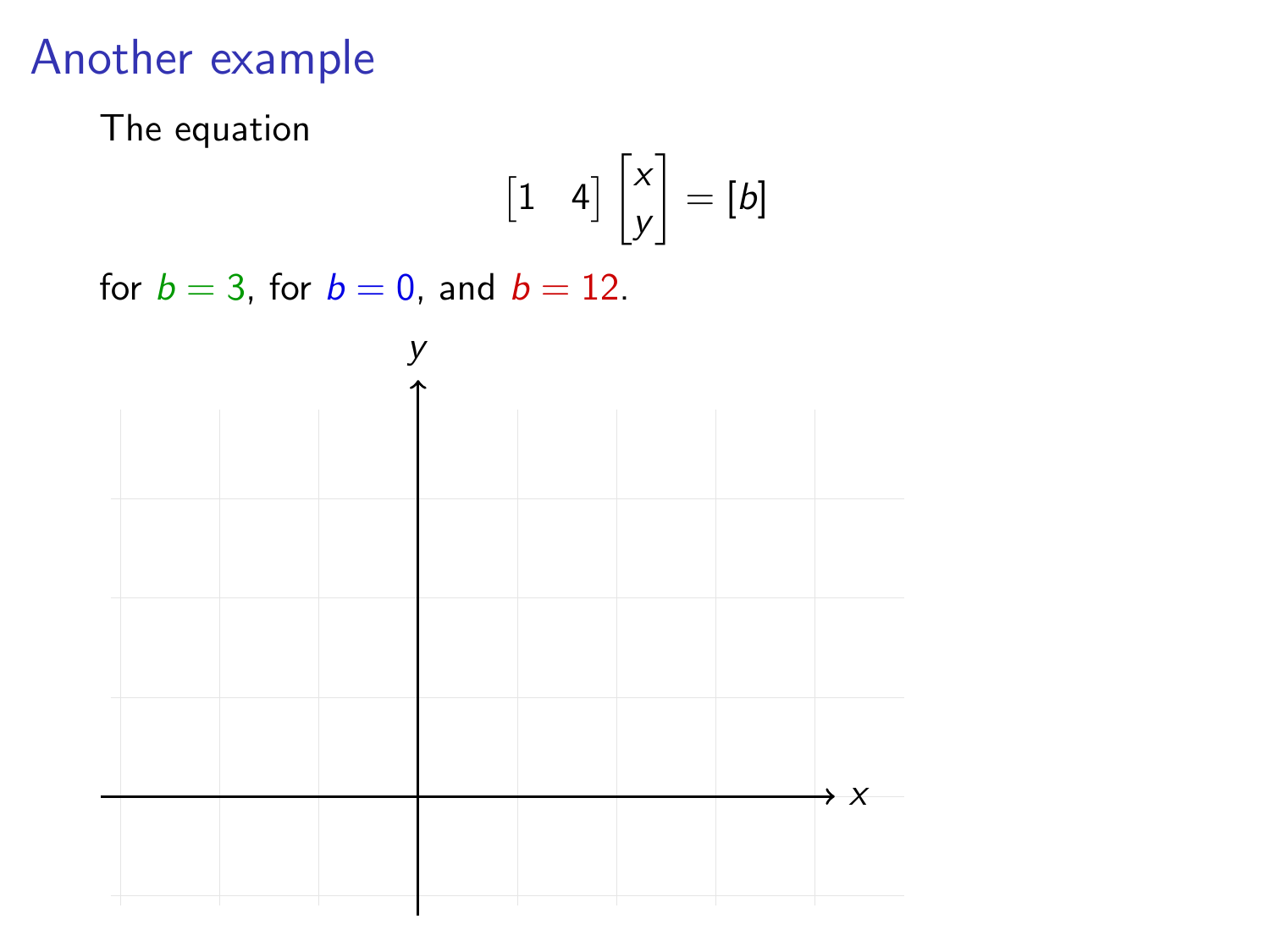#### Another example

The equation

$$
\begin{bmatrix} 1 & 4 \end{bmatrix} \begin{bmatrix} x \\ y \end{bmatrix} = \begin{bmatrix} b \end{bmatrix}
$$

for  $b = 3$ , for  $b = 0$ , and  $b = 12$ .

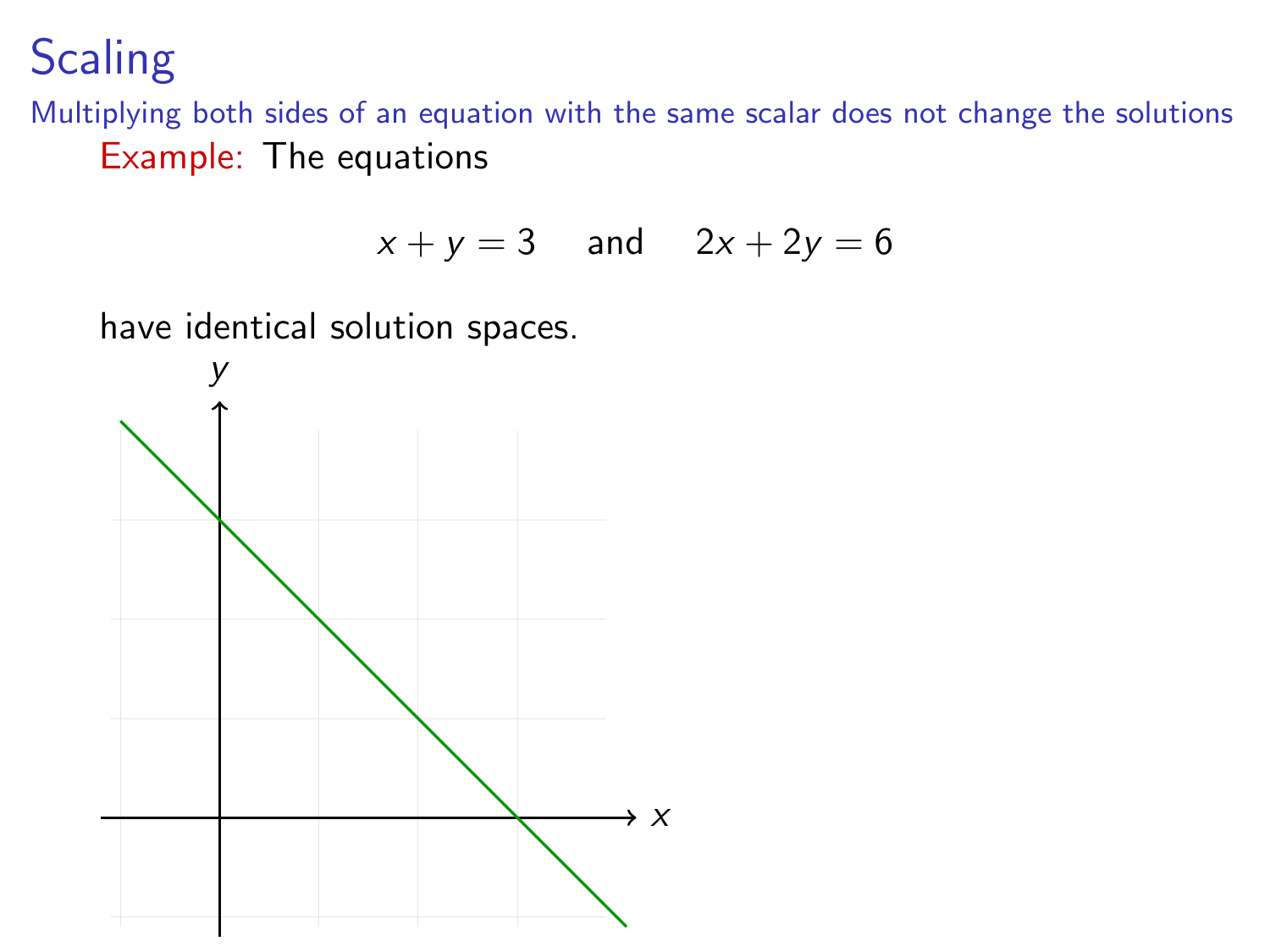**Scaling** 

Multiplying both sides of an equation with the same scalar does not change the solutions Example: The equations

$$
x + y = 3 \quad \text{and} \quad 2x + 2y = 6
$$

have identical solution spaces.

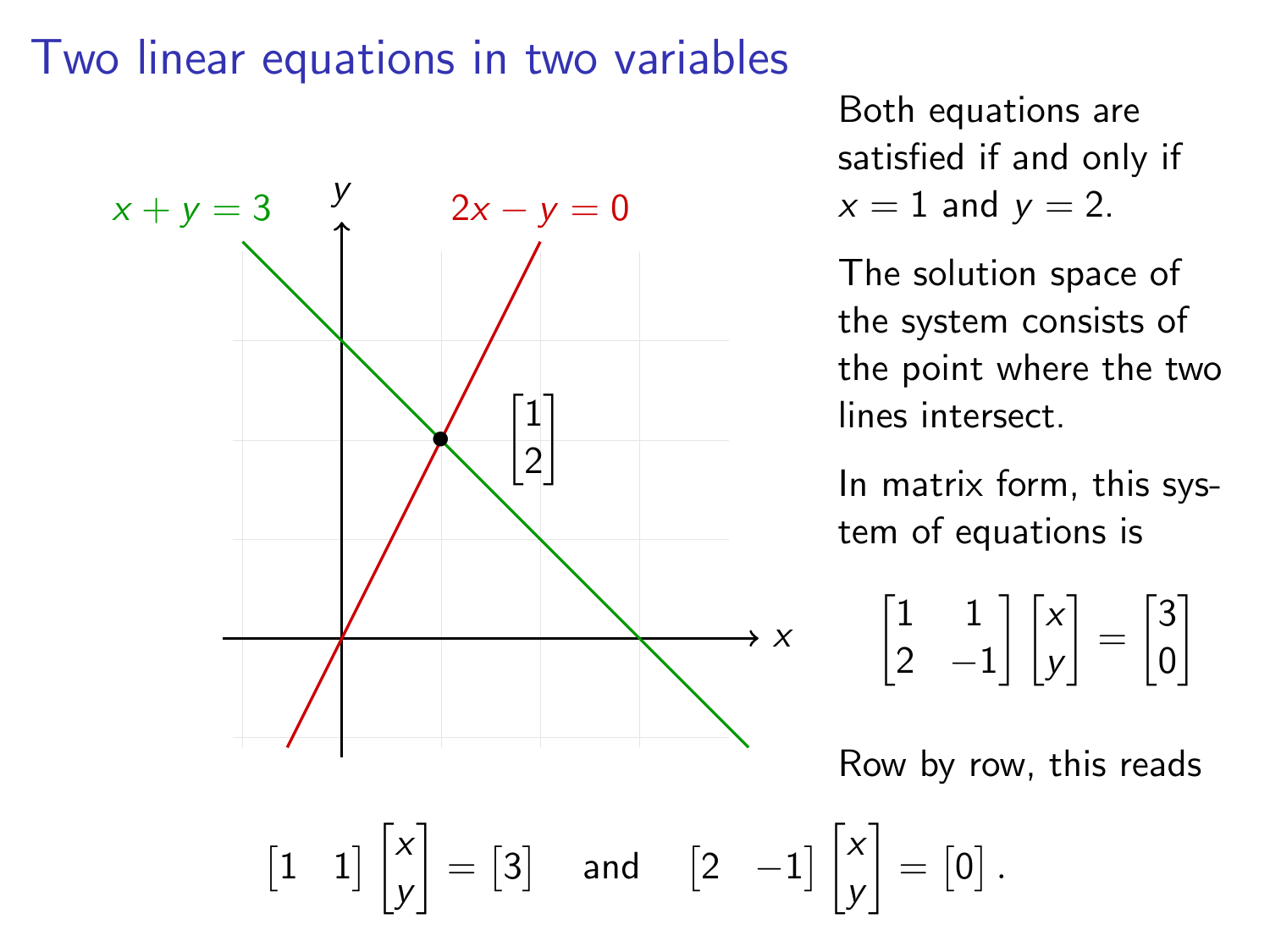#### Two linear equations in two variables



Both equations are satisfied if and only if  $x = 1$  and  $y = 2$ .

The solution space of the system consists of the point where the two lines intersect.

In matrix form, this system of equations is

 $\begin{bmatrix} 1 & 1 \\ 2 & 1 \end{bmatrix}$ 2 −1  $\lceil$   $\lceil x \rceil$ y  $=\begin{bmatrix} 3 \\ 0 \end{bmatrix}$ 0 1

Row by row, this reads

 $\begin{bmatrix} 1 & 1 \end{bmatrix}$ y  $\Big] = \begin{bmatrix} 3 \end{bmatrix}$  and  $\begin{bmatrix} 2 & -1 \end{bmatrix} \begin{bmatrix} x \\ y \end{bmatrix}$ y  $\Big] = \begin{bmatrix} 0 \end{bmatrix}.$